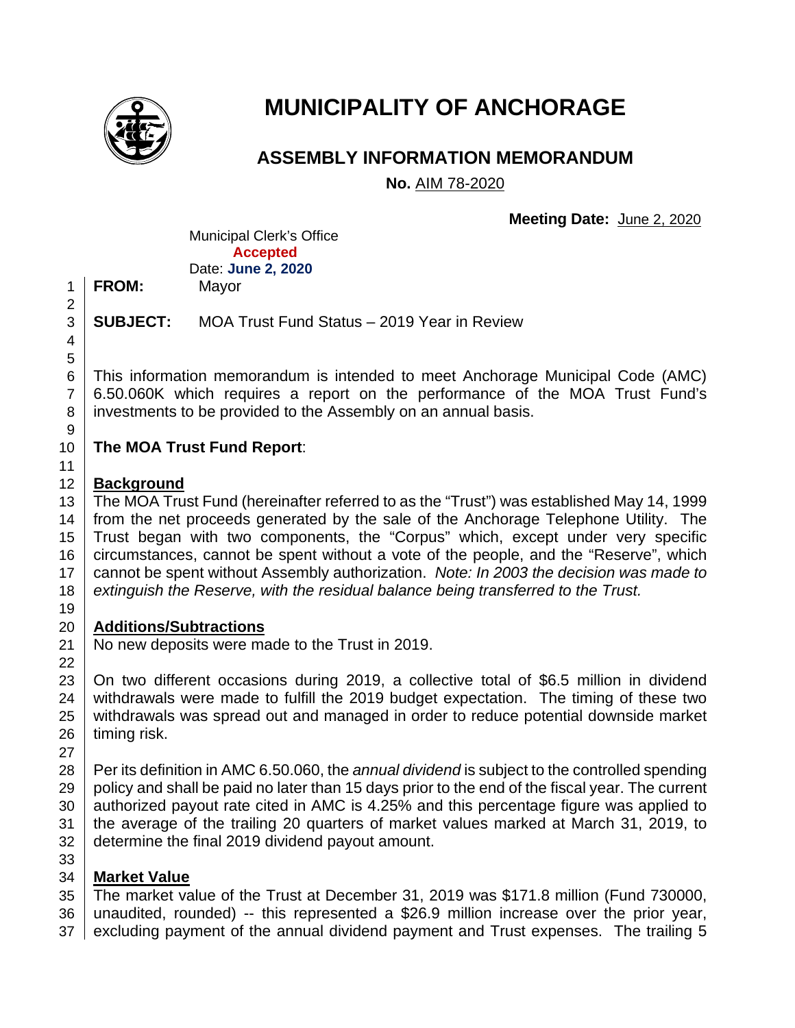

# **MUNICIPALITY OF ANCHORAGE**

# **ASSEMBLY INFORMATION MEMORANDUM**

**No.** AIM 78-2020

**Meeting Date:** June 2, 2020

Municipal Clerk's Office **Accepted** Date: **June 2, 2020**

**FROM:** Mayor

**SUBJECT:** MOA Trust Fund Status – 2019 Year in Review

 This information memorandum is intended to meet Anchorage Municipal Code (AMC) 6.50.060K which requires a report on the performance of the MOA Trust Fund's 8 investments to be provided to the Assembly on an annual basis.

# **The MOA Trust Fund Report**:

# **Background**

13 The MOA Trust Fund (hereinafter referred to as the "Trust") was established May 14, 1999 14 from the net proceeds generated by the sale of the Anchorage Telephone Utility. The Trust began with two components, the "Corpus" which, except under very specific 16 circumstances, cannot be spent without a vote of the people, and the "Reserve", which cannot be spent without Assembly authorization. *Note: In 2003 the decision was made to extinguish the Reserve, with the residual balance being transferred to the Trust.* 

# **Additions/Subtractions**

21 | No new deposits were made to the Trust in 2019.

23 On two different occasions during 2019, a collective total of \$6.5 million in dividend 24 withdrawals were made to fulfill the 2019 budget expectation. The timing of these two withdrawals was spread out and managed in order to reduce potential downside market timing risk.

 Per its definition in AMC 6.50.060, the *annual dividend* is subject to the controlled spending policy and shall be paid no later than 15 days prior to the end of the fiscal year. The current 30 authorized payout rate cited in AMC is 4.25% and this percentage figure was applied to the average of the trailing 20 quarters of market values marked at March 31, 2019, to 32 determine the final 2019 dividend payout amount. 

# **Market Value**

The market value of the Trust at December 31, 2019 was \$171.8 million (Fund 730000,

- unaudited, rounded) -- this represented a \$26.9 million increase over the prior year, 37 excluding payment of the annual dividend payment and Trust expenses. The trailing 5
-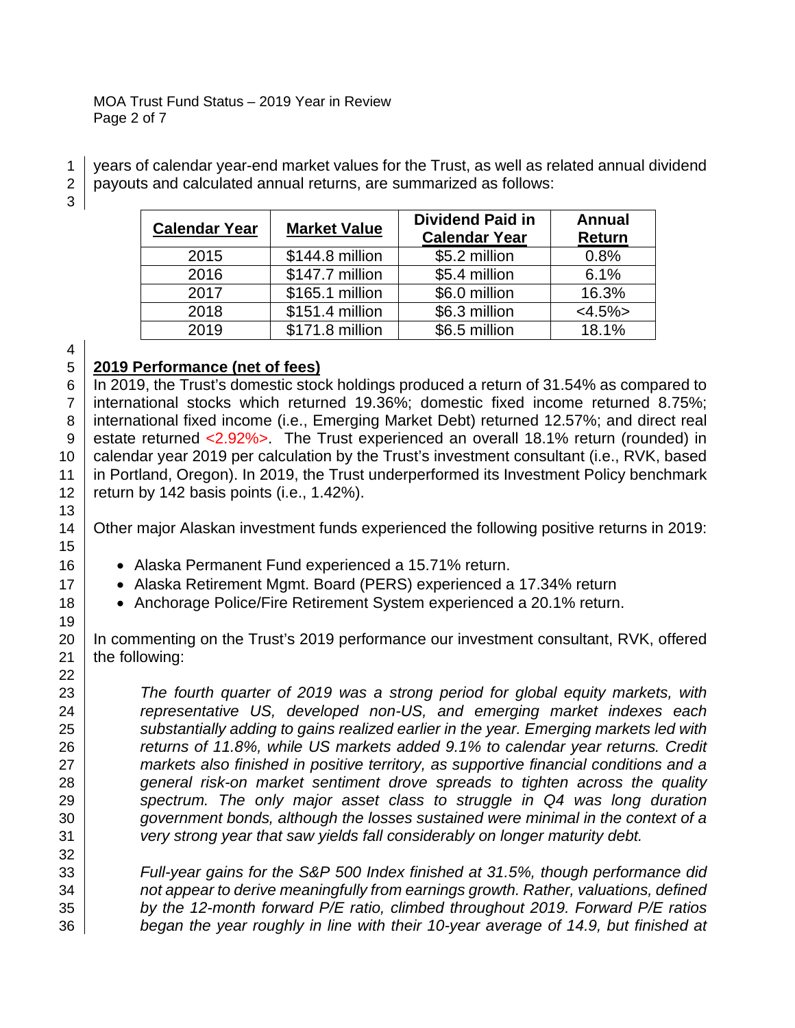#### MOA Trust Fund Status – 2019 Year in Review Page 2 of 7

years of calendar year-end market values for the Trust, as well as related annual dividend

payouts and calculated annual returns, are summarized as follows:

| <b>Calendar Year</b> | <b>Market Value</b> | <b>Dividend Paid in</b><br><b>Calendar Year</b> | Annual<br><b>Return</b> |
|----------------------|---------------------|-------------------------------------------------|-------------------------|
| 2015                 | \$144.8 million     | \$5.2 million                                   | 0.8%                    |
| 2016                 | \$147.7 million     | \$5.4 million                                   | 6.1%                    |
| 2017                 | \$165.1 million     | \$6.0 million                                   | 16.3%                   |
| 2018                 | \$151.4 million     | \$6.3 million                                   | $<4.5\%>$               |
| 2019                 | \$171.8 million     | \$6.5 million                                   | 18.1%                   |

# **2019 Performance (net of fees)**

6 | In 2019, the Trust's domestic stock holdings produced a return of 31.54% as compared to international stocks which returned 19.36%; domestic fixed income returned 8.75%; 8 international fixed income (i.e., Emerging Market Debt) returned 12.57%; and direct real 9 estate returned <2.92%>. The Trust experienced an overall 18.1% return (rounded) in 10 calendar year 2019 per calculation by the Trust's investment consultant (i.e., RVK, based in Portland, Oregon). In 2019, the Trust underperformed its Investment Policy benchmark 12  $\vert$  return by 142 basis points (i.e., 1.42%).

14 | Other major Alaskan investment funds experienced the following positive returns in 2019:

- **•** Alaska Permanent Fund experienced a 15.71% return.
- **•** Alaska Retirement Mgmt. Board (PERS) experienced a 17.34% return
- **•** Anchorage Police/Fire Retirement System experienced a 20.1% return.

20 In commenting on the Trust's 2019 performance our investment consultant, RVK, offered the following:

 *The fourth quarter of 2019 was a strong period for global equity markets, with representative US, developed non-US, and emerging market indexes each*  **substantially adding to gains realized earlier in the year. Emerging markets led with**  *returns of 11.8%, while US markets added 9.1% to calendar year returns. Credit markets also finished in positive territory, as supportive financial conditions and a general risk-on market sentiment drove spreads to tighten across the quality spectrum. The only major asset class to struggle in Q4 was long duration government bonds, although the losses sustained were minimal in the context of a very strong year that saw yields fall considerably on longer maturity debt.* 

 *Full-year gains for the S&P 500 Index finished at 31.5%, though performance did not appear to derive meaningfully from earnings growth. Rather, valuations, defined by the 12-month forward P/E ratio, climbed throughout 2019. Forward P/E ratios began the year roughly in line with their 10-year average of 14.9, but finished at*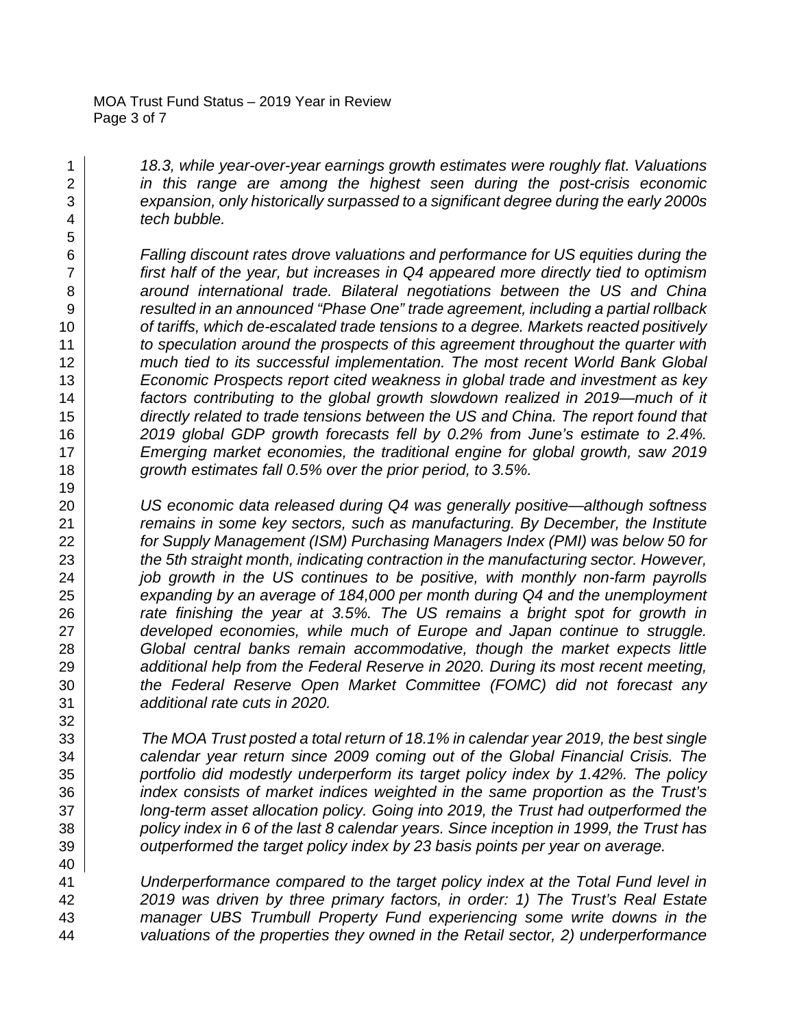*18.3, while year-over-year earnings growth estimates were roughly flat. Valuations in this range are among the highest seen during the post-crisis economic expansion, only historically surpassed to a significant degree during the early 2000s tech bubble.* 

 *Falling discount rates drove valuations and performance for US equities during the first half of the year, but increases in Q4 appeared more directly tied to optimism around international trade. Bilateral negotiations between the US and China resulted in an announced "Phase One" trade agreement, including a partial rollback*  **of tariffs, which de-escalated trade tensions to a degree. Markets reacted positively**  *to speculation around the prospects of this agreement throughout the quarter with much tied to its successful implementation. The most recent World Bank Global Economic Prospects report cited weakness in global trade and investment as key factors contributing to the global growth slowdown realized in 2019—much of it directly related to trade tensions between the US and China. The report found that 2019 global GDP growth forecasts fell by 0.2% from June's estimate to 2.4%. Emerging market economies, the traditional engine for global growth, saw 2019 growth estimates fall 0.5% over the prior period, to 3.5%.* 

 *US economic data released during Q4 was generally positive—although softness remains in some key sectors, such as manufacturing. By December, the Institute for Supply Management (ISM) Purchasing Managers Index (PMI) was below 50 for the 5th straight month, indicating contraction in the manufacturing sector. However, job growth in the US continues to be positive, with monthly non-farm payrolls expanding by an average of 184,000 per month during Q4 and the unemployment rate finishing the year at 3.5%. The US remains a bright spot for growth in developed economies, while much of Europe and Japan continue to struggle. Global central banks remain accommodative, though the market expects little additional help from the Federal Reserve in 2020. During its most recent meeting, the Federal Reserve Open Market Committee (FOMC) did not forecast any additional rate cuts in 2020.*

 *The MOA Trust posted a total return of 18.1% in calendar year 2019, the best single calendar year return since 2009 coming out of the Global Financial Crisis. The portfolio did modestly underperform its target policy index by 1.42%. The policy index consists of market indices weighted in the same proportion as the Trust's long-term asset allocation policy. Going into 2019, the Trust had outperformed the policy index in 6 of the last 8 calendar years. Since inception in 1999, the Trust has outperformed the target policy index by 23 basis points per year on average.*

 *Underperformance compared to the target policy index at the Total Fund level in 2019 was driven by three primary factors, in order: 1) The Trust's Real Estate manager UBS Trumbull Property Fund experiencing some write downs in the valuations of the properties they owned in the Retail sector, 2) underperformance*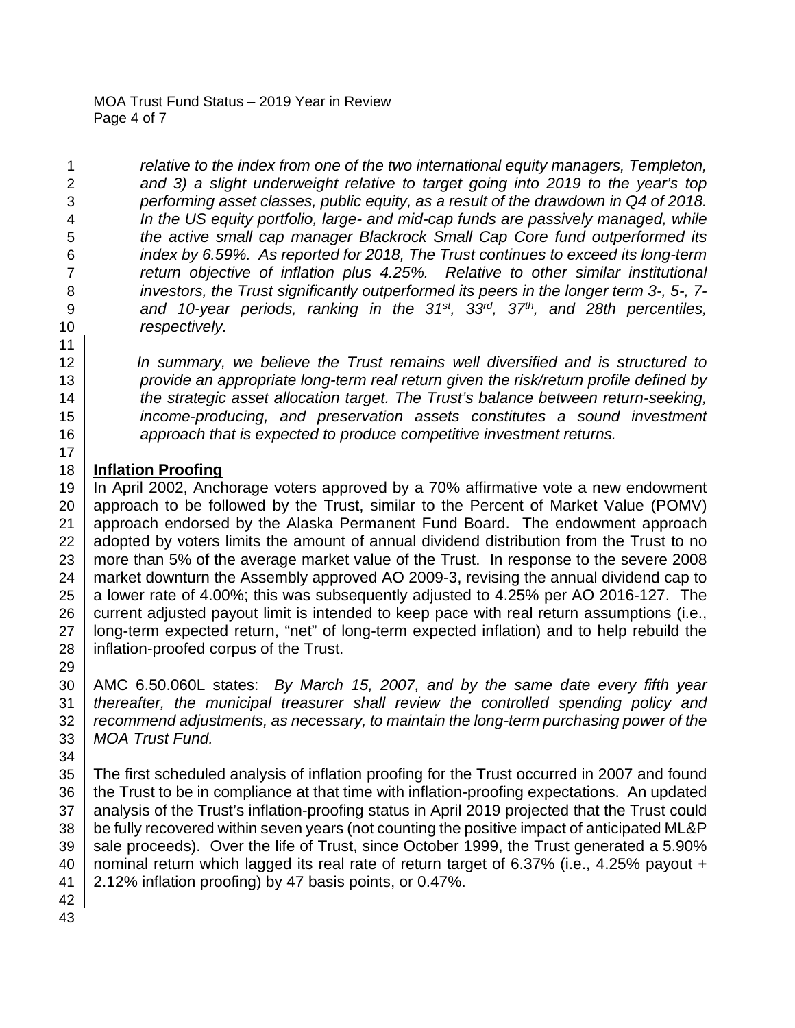*relative to the index from one of the two international equity managers, Templeton, and 3) a slight underweight relative to target going into 2019 to the year's top performing asset classes, public equity, as a result of the drawdown in Q4 of 2018. In the US equity portfolio, large- and mid-cap funds are passively managed, while the active small cap manager Blackrock Small Cap Core fund outperformed its index by 6.59%. As reported for 2018, The Trust continues to exceed its long-term return objective of inflation plus 4.25%. Relative to other similar institutional investors, the Trust significantly outperformed its peers in the longer term 3-, 5-, 7-* 9 and 10-year periods, ranking in the 31<sup>st</sup>, 33<sup>rd</sup>, 37<sup>th</sup>, and 28th percentiles, *respectively.* 

 *In summary, we believe the Trust remains well diversified and is structured to provide an appropriate long-term real return given the risk/return profile defined by the strategic asset allocation target. The Trust's balance between return-seeking, income-producing, and preservation assets constitutes a sound investment approach that is expected to produce competitive investment returns.*

# **Inflation Proofing**

 In April 2002, Anchorage voters approved by a 70% affirmative vote a new endowment 20 approach to be followed by the Trust, similar to the Percent of Market Value (POMV) approach endorsed by the Alaska Permanent Fund Board. The endowment approach 22 adopted by voters limits the amount of annual dividend distribution from the Trust to no more than 5% of the average market value of the Trust. In response to the severe 2008 24 market downturn the Assembly approved AO 2009-3, revising the annual dividend cap to 25 a lower rate of 4.00%; this was subsequently adjusted to 4.25% per AO 2016-127. The current adjusted payout limit is intended to keep pace with real return assumptions (i.e., 27 | long-term expected return, "net" of long-term expected inflation) and to help rebuild the | inflation-proofed corpus of the Trust.

 AMC 6.50.060L states: *By March 15, 2007, and by the same date every fifth year thereafter, the municipal treasurer shall review the controlled spending policy and recommend adjustments, as necessary, to maintain the long-term purchasing power of the MOA Trust Fund.*

 The first scheduled analysis of inflation proofing for the Trust occurred in 2007 and found the Trust to be in compliance at that time with inflation-proofing expectations. An updated 37 analysis of the Trust's inflation-proofing status in April 2019 projected that the Trust could 38 be fully recovered within seven years (not counting the positive impact of anticipated ML&P 39 sale proceeds). Over the life of Trust, since October 1999, the Trust generated a 5.90% 40 | nominal return which lagged its real rate of return target of 6.37% (i.e., 4.25% payout  $+$ 2.12% inflation proofing) by 47 basis points, or 0.47%.

- 
-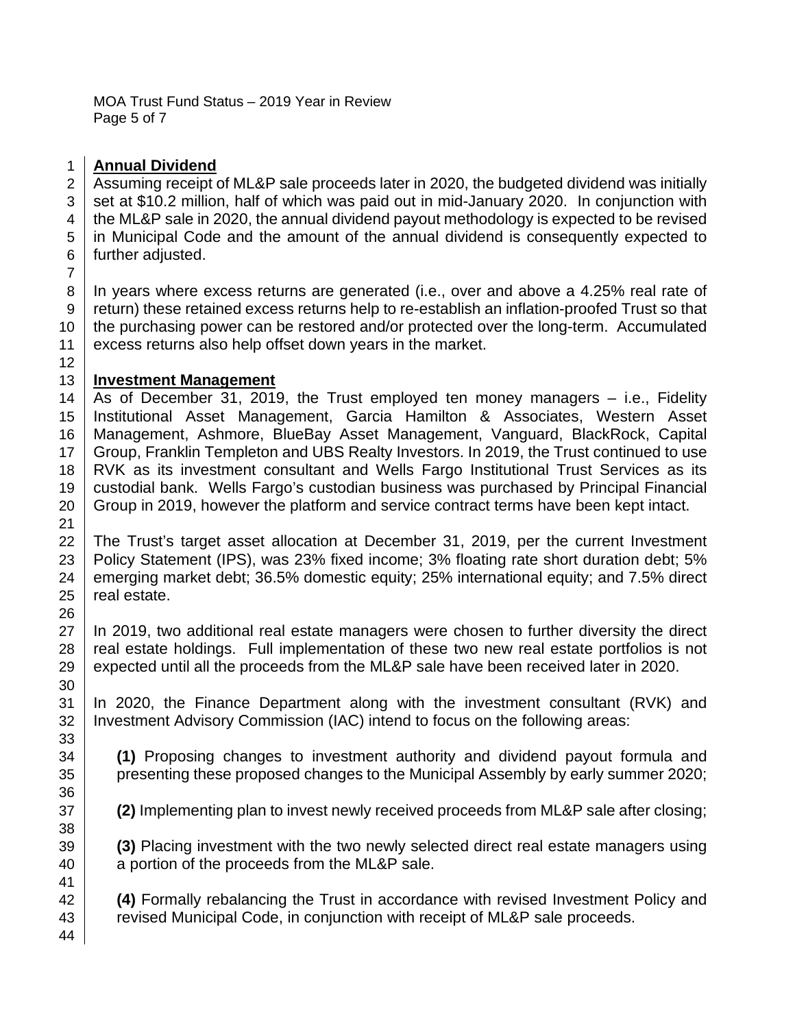MOA Trust Fund Status – 2019 Year in Review Page 5 of 7

# **Annual Dividend**

 Assuming receipt of ML&P sale proceeds later in 2020, the budgeted dividend was initially  $3 \mid$  set at \$10.2 million, half of which was paid out in mid-January 2020. In conjunction with 4 the ML&P sale in 2020, the annual dividend payout methodology is expected to be revised in Municipal Code and the amount of the annual dividend is consequently expected to 6 further adjusted. 

 In years where excess returns are generated (i.e., over and above a 4.25% real rate of return) these retained excess returns help to re-establish an inflation-proofed Trust so that 10 the purchasing power can be restored and/or protected over the long-term. Accumulated excess returns also help offset down years in the market.

# **Investment Management**

14 As of December 31, 2019, the Trust employed ten money managers  $-$  i.e., Fidelity Institutional Asset Management, Garcia Hamilton & Associates, Western Asset Management, Ashmore, BlueBay Asset Management, Vanguard, BlackRock, Capital 17 Group, Franklin Templeton and UBS Realty Investors. In 2019, the Trust continued to use 18 | RVK as its investment consultant and Wells Fargo Institutional Trust Services as its custodial bank. Wells Fargo's custodian business was purchased by Principal Financial Group in 2019, however the platform and service contract terms have been kept intact.

 The Trust's target asset allocation at December 31, 2019, per the current Investment 23 | Policy Statement (IPS), was 23% fixed income; 3% floating rate short duration debt; 5% 24 emerging market debt; 36.5% domestic equity; 25% international equity; and 7.5% direct real estate.

27 In 2019, two additional real estate managers were chosen to further diversity the direct 28 real estate holdings. Full implementation of these two new real estate portfolios is not  $\vert$  expected until all the proceeds from the ML&P sale have been received later in 2020.

 In 2020, the Finance Department along with the investment consultant (RVK) and 32 | Investment Advisory Commission (IAC) intend to focus on the following areas:

 **(1)** Proposing changes to investment authority and dividend payout formula and 35 presenting these proposed changes to the Municipal Assembly by early summer 2020;

**(2)** Implementing plan to invest newly received proceeds from ML&P sale after closing;

 **(3)** Placing investment with the two newly selected direct real estate managers using **a** portion of the proceeds from the ML&P sale.

 **(4)** Formally rebalancing the Trust in accordance with revised Investment Policy and **Figure 23** revised Municipal Code, in conjunction with receipt of ML&P sale proceeds.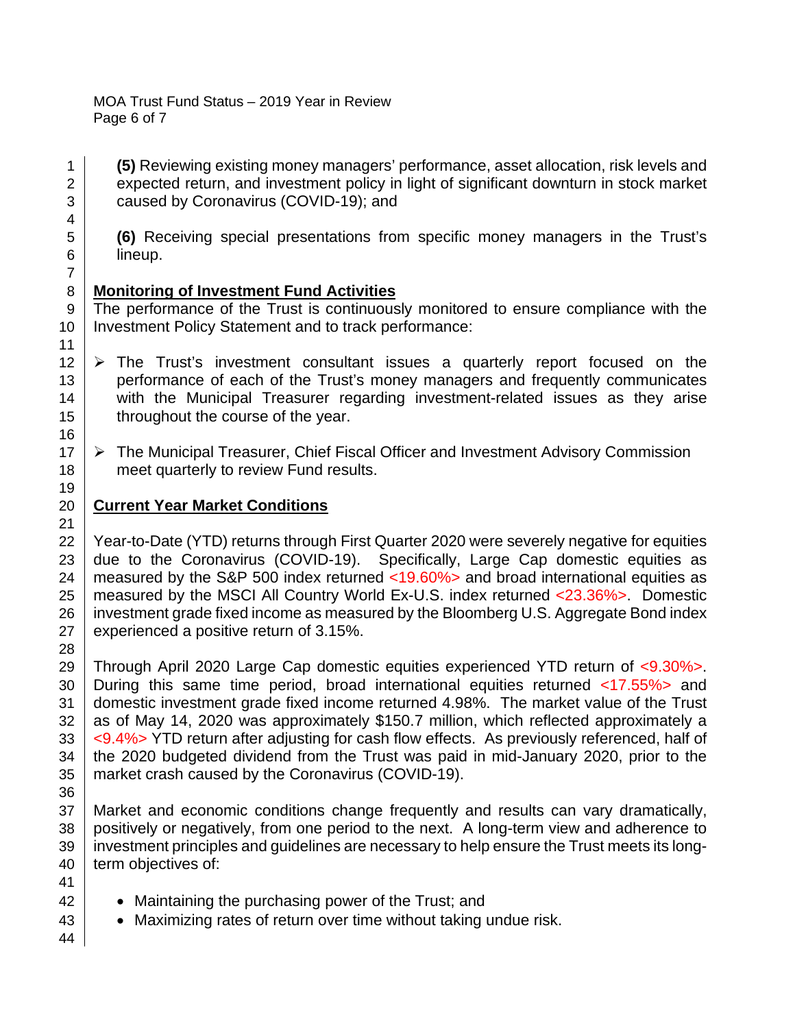MOA Trust Fund Status – 2019 Year in Review Page 6 of 7

1 **(5)** Reviewing existing money managers' performance, asset allocation, risk levels and 2 expected return, and investment policy in light of significant downturn in stock market 3 **caused by Coronavirus (COVID-19)**; and

5 **(6)** Receiving special presentations from specific money managers in the Trust's 6 lineup.

# 8 **Monitoring of Investment Fund Activities**

9 The performance of the Trust is continuously monitored to ensure compliance with the 10 | Investment Policy Statement and to track performance:

- $12 \mid \triangleright$  The Trust's investment consultant issues a quarterly report focused on the 13 performance of each of the Trust's money managers and frequently communicates 14 with the Municipal Treasurer regarding investment-related issues as they arise 15 | throughout the course of the year.
- $17 \mid \triangleright$  The Municipal Treasurer, Chief Fiscal Officer and Investment Advisory Commission 18 meet quarterly to review Fund results.

# 20 **Current Year Market Conditions**

22 Year-to-Date (YTD) returns through First Quarter 2020 were severely negative for equities  $23$  due to the Coronavirus (COVID-19). Specifically, Large Cap domestic equities as 24 measured by the S&P 500 index returned  $\langle$ 19.60%> and broad international equities as 25 | measured by the MSCI All Country World Ex-U.S. index returned <23.36%>. Domestic 26 investment grade fixed income as measured by the Bloomberg U.S. Aggregate Bond index  $27$  experienced a positive return of 3.15%.

 Through April 2020 Large Cap domestic equities experienced YTD return of <9.30%>. During this same time period, broad international equities returned <17.55%> and domestic investment grade fixed income returned 4.98%. The market value of the Trust as of May 14, 2020 was approximately \$150.7 million, which reflected approximately a  $\sim$   $\leq$  9.4%> YTD return after adjusting for cash flow effects. As previously referenced, half of the 2020 budgeted dividend from the Trust was paid in mid-January 2020, prior to the 35 | market crash caused by the Coronavirus (COVID-19). 36

37 Market and economic conditions change frequently and results can vary dramatically, 38 positively or negatively, from one period to the next. A long-term view and adherence to 39 investment principles and guidelines are necessary to help ensure the Trust meets its long-40 term objectives of:

- 42 **•** Maintaining the purchasing power of the Trust; and
- 43 **•** Maximizing rates of return over time without taking undue risk.
- 44

41

4

7

11

16

19

21